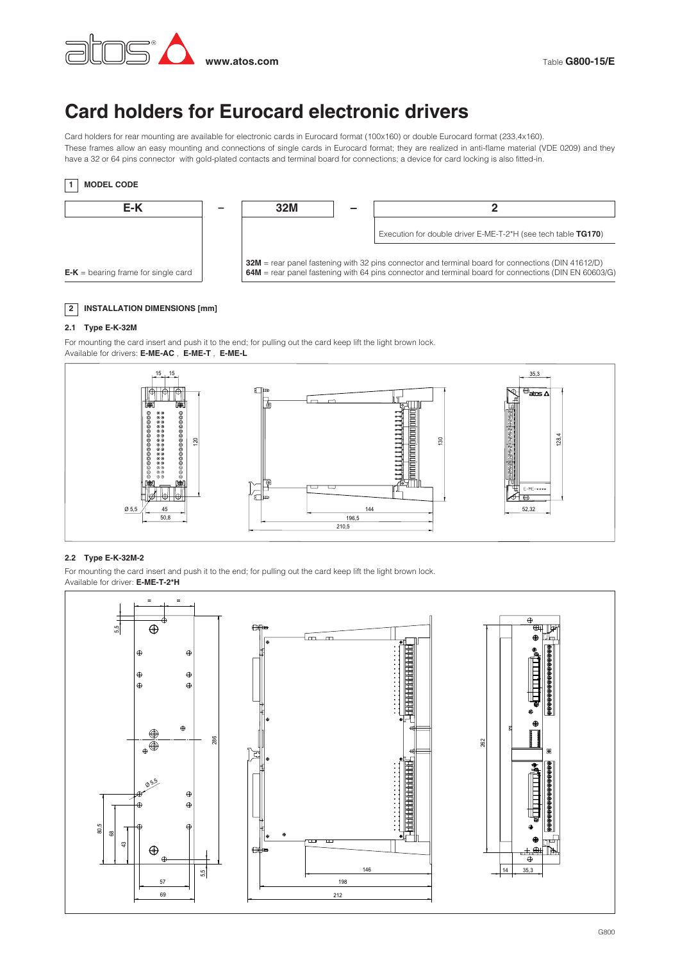

# **Card holders for Eurocard electronic drivers**

Card holders for rear mounting are available for electronic cards in Eurocard format (100x160) or double Eurocard format (233,4x160). These frames allow an easy mounting and connections of single cards in Eurocard format; they are realized in anti-flame material (VDE 0209) and they have a 32 or 64 pins connector with gold-plated contacts and terminal board for connections; a device for card locking is also fitted-in.



## **2 INSTALLATION DIMENSIONS [mm]**

### **2.1 Type E-K-32M**

For mounting the card insert and push it to the end; for pulling out the card keep lift the light brown lock. Available for drivers: **E-ME-AC** , **E-ME-T** , **E-ME-L**



### **2.2 Type E-K-32M-2**

For mounting the card insert and push it to the end; for pulling out the card keep lift the light brown lock. Available for driver: **E-ME-T-2\*H**